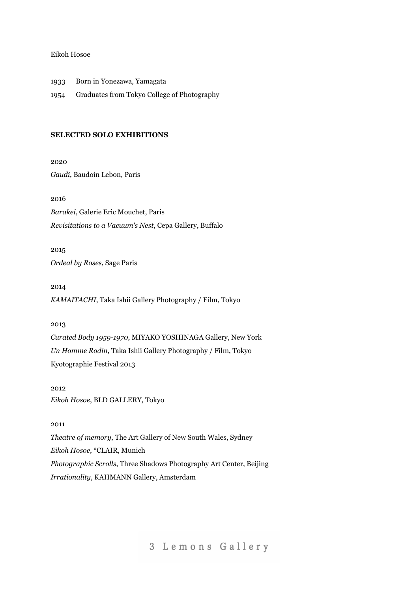#### Eikoh Hosoe

1933 Born in Yonezawa, Yamagata

1954 Graduates from Tokyo College of Photography

## **SELECTED SOLO EXHIBITIONS**

2020 *Gaudi*, Baudoin Lebon, Paris

2016 *Barakei*, Galerie Eric Mouchet, Paris *Revisitations to a Vacuum's Nest*, Cepa Gallery, Buffalo

2015 *Ordeal by Roses*, Sage Paris

2014 *KAMAITACHI*, Taka Ishii Gallery Photography / Film, Tokyo

## 2013

*Curated Body 1959-1970*, MIYAKO YOSHINAGA Gallery, New York *Un Homme Rodin*, Taka Ishii Gallery Photography / Film, Tokyo Kyotographie Festival 2013

2012 *Eikoh Hosoe*, BLD GALLERY, Tokyo

## 2011

*Theatre of memory*, The Art Gallery of New South Wales, Sydney *Eikoh Hosoe*, °CLAIR, Munich *Photographic Scrolls*, Three Shadows Photography Art Center, Beijing *Irrationality*, KAHMANN Gallery, Amsterdam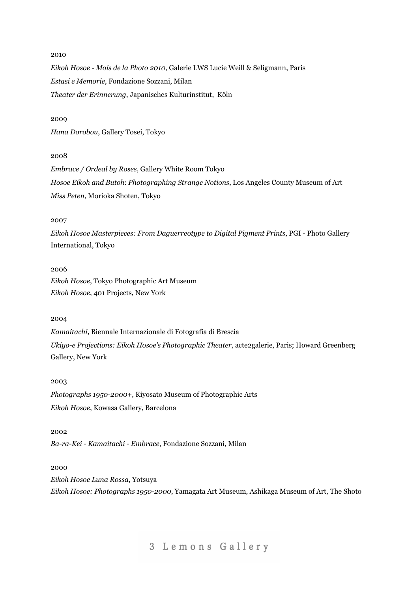#### 2010

*Eikoh Hosoe - Mois de la Photo 2010*, Galerie LWS Lucie Weill & Seligmann, Paris *Estasi e Memorie*, Fondazione Sozzani, Milan *Theater der Erinnerung*, Japanisches Kulturinstitut, Köln

#### 2009

*Hana Dorobou*, Gallery Tosei, Tokyo

## 2008

*Embrace / Ordeal by Roses*, Gallery White Room Tokyo *Hosoe Eikoh and Butoh*: *Photographing Strange Notions*, Los Angeles County Museum of Art *Miss Peten*, Morioka Shoten, Tokyo

#### 2007

*Eikoh Hosoe Masterpieces: From Daguerreotype to Digital Pigment Prints*, PGI - Photo Gallery International, Tokyo

#### 2006

*Eikoh Hosoe*, Tokyo Photographic Art Museum *Eikoh Hosoe*, 401 Projects, New York

#### 2004

*Kamaitachi*, Biennale Internazionale di Fotografia di Brescia *Ukiyo-e Projections: Eikoh Hosoe's Photographic Theater*, acte2galerie, Paris; Howard Greenberg Gallery, New York

#### 2003

*Photographs 1950-2000+*, Kiyosato Museum of Photographic Arts *Eikoh Hosoe*, Kowasa Gallery, Barcelona

#### 2002

*Ba-ra-Kei - Kamaitachi - Embrace*, Fondazione Sozzani, Milan

#### 2000

*Eikoh Hosoe Luna Rossa*, Yotsuya *Eikoh Hosoe: Photographs 1950-2000*, Yamagata Art Museum, Ashikaga Museum of Art, The Shoto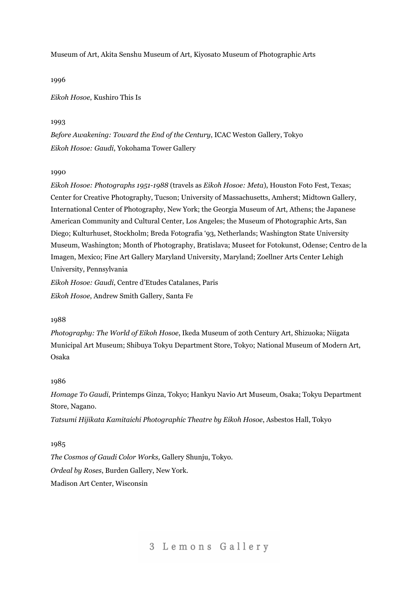Museum of Art, Akita Senshu Museum of Art, Kiyosato Museum of Photographic Arts

1996

*Eikoh Hosoe*, Kushiro This Is

### 1993

*Before Awakening: Toward the End of the Century*, ICAC Weston Gallery, Tokyo *Eikoh Hosoe: Gaudi*, Yokohama Tower Gallery

### 1990

*Eikoh Hosoe: Photographs 1951-1988* (travels as *Eikoh Hosoe: Meta*), Houston Foto Fest, Texas; Center for Creative Photography, Tucson; University of Massachusetts, Amherst; Midtown Gallery, International Center of Photography, New York; the Georgia Museum of Art, Athens; the Japanese American Community and Cultural Center, Los Angeles; the Museum of Photographic Arts, San Diego; Kulturhuset, Stockholm; Breda Fotografia '93, Netherlands; Washington State University Museum, Washington; Month of Photography, Bratislava; Museet for Fotokunst, Odense; Centro de la Imagen, Mexico; Fine Art Gallery Maryland University, Maryland; Zoellner Arts Center Lehigh University, Pennsylvania

*Eikoh Hosoe: Gaudi*, Centre d'Etudes Catalanes, Paris

*Eikoh Hosoe*, Andrew Smith Gallery, Santa Fe

### 1988

*Photography: The World of Eikoh Hosoe*, Ikeda Museum of 20th Century Art, Shizuoka; Niigata Municipal Art Museum; Shibuya Tokyu Department Store, Tokyo; National Museum of Modern Art, Osaka

## 1986

*Homage To Gaudi*, Printemps Ginza, Tokyo; Hankyu Navio Art Museum, Osaka; Tokyu Department Store, Nagano.

*Tatsumi Hijikata Kamitaichi Photographic Theatre by Eikoh Hosoe*, Asbestos Hall, Tokyo

## 1985

*The Cosmos of Gaudi Color Works,* Gallery Shunju, Tokyo. *Ordeal by Roses*, Burden Gallery, New York. Madison Art Center, Wisconsin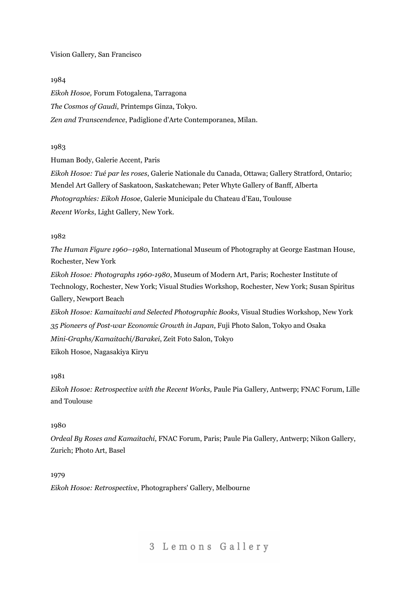#### Vision Gallery, San Francisco

#### 1984

*Eikoh Hosoe,* Forum Fotogalena, Tarragona *The Cosmos of Gaudi*, Printemps Ginza, Tokyo. *Zen and Transcendence*, Padiglione d'Arte Contemporanea, Milan.

## 1983

Human Body, Galerie Accent, Paris

*Eikoh Hosoe: Tué par les roses*, Galerie Nationale du Canada, Ottawa; Gallery Stratford, Ontario; Mendel Art Gallery of Saskatoon, Saskatchewan; Peter Whyte Gallery of Banff, Alberta *Photographies: Eikoh Hosoe*, Galerie Municipale du Chateau d'Eau, Toulouse *Recent Works*, Light Gallery, New York.

#### 1982

*The Human Figure 1960–1980*, International Museum of Photography at George Eastman House, Rochester, New York

*Eikoh Hosoe: Photographs 1960-1980*, Museum of Modern Art, Paris; Rochester Institute of Technology, Rochester, New York; Visual Studies Workshop, Rochester, New York; Susan Spiritus Gallery, Newport Beach

*Eikoh Hosoe: Kamaitachi and Selected Photographic Books,* Visual Studies Workshop, New York *35 Pioneers of Post-war Economic Growth in Japan*, Fuji Photo Salon, Tokyo and Osaka *Mini-Graphs/Kamaitachi/Barakei*, Zeit Foto Salon, Tokyo

Eikoh Hosoe, Nagasakiya Kiryu

### 1981

*Eikoh Hosoe: Retrospective with the Recent Works,* Paule Pia Gallery, Antwerp; FNAC Forum, Lille and Toulouse

## 1980

*Ordeal By Roses and Kamaitachi*, FNAC Forum, Paris; Paule Pia Gallery, Antwerp; Nikon Gallery, Zurich; Photo Art, Basel

## 1979

*Eikoh Hosoe: Retrospective*, Photographers' Gallery, Melbourne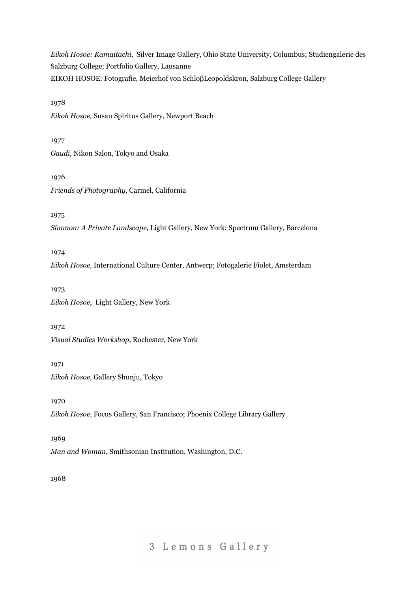*Eikoh Hosoe: Kamaitachi*, Silver Image Gallery, Ohio State University, Columbus; Studiengalerie des Salzburg College; Portfolio Gallery, Lausanne EIKOH HOSOE: Fotografie, Meierhof von SchloβLeopoldskron, Salzburg College Gallery

1978

*Eikoh Hosoe,* Susan Spiritus Gallery, Newport Beach

1977 *Gaudi*, Nikon Salon, Tokyo and Osaka

1976 *Friends of Photography*, Carmel, California

1975

*Simmon: A Private Landscape,* Light Gallery, New York; Spectrum Gallery, Barcelona

1974

*Eikoh Hosoe,* International Culture Center, Antwerp; Fotogalerie Fiolet, Amsterdam

1973 *Eikoh Hosoe*, Light Gallery, New York

1972

*Visual Studies Workshop*, Rochester, New York

1971

*Eikoh Hosoe,* Gallery Shunju, Tokyo

1970

*Eikoh Hosoe,* Focus Gallery, San Francisco; Phoenix College Library Gallery

1969

*Man and Woman*, Smithsonian Institution, Washington, D.C.

1968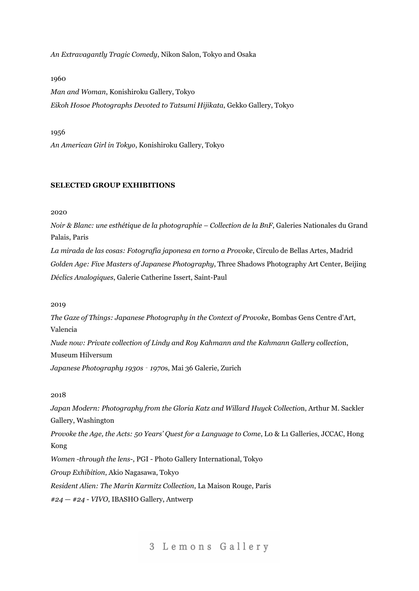*An Extravagantly Tragic Comedy*, Nikon Salon, Tokyo and Osaka

#### 1960

*Man and Woman*, Konishiroku Gallery, Tokyo *Eikoh Hosoe Photographs Devoted to Tatsumi Hijikata*, Gekko Gallery, Tokyo

#### 1956

*An American Girl in Tokyo*, Konishiroku Gallery, Tokyo

#### **SELECTED GROUP EXHIBITIONS**

2020

*Noir & Blanc: une esthétique de la photographie – Collection de la BnF*, Galeries Nationales du Grand Palais, Paris

*La mirada de las cosas: Fotografía japonesa en torno a Provoke*, Círculo de Bellas Artes, Madrid *Golden Age: Five Masters of Japanese Photography*, Three Shadows Photography Art Center, Beijing *Déclics Analogiques*, Galerie Catherine Issert, Saint-Paul

2019

*The Gaze of Things: Japanese Photography in the Context of Provoke*, Bombas Gens Centre d'Art, Valencia

*Nude now: Private collection of Lindy and Roy Kahmann and the Kahmann Gallery collectio*n, Museum Hilversum

*Japanese Photography 1930s* ‐ *1970*s, Mai 36 Galerie, Zurich

## 2018

*Japan Modern: Photography from the Gloria Katz and Willard Huyck Collectio*n, Arthur M. Sackler Gallery, Washington *Provoke the Age, the Acts: 50 Years' Quest for a Language to Come*, L0 & L1 Galleries, JCCAC, Hong Kong *Women -through the lens*-, PGI - Photo Gallery International, Tokyo *Group Exhibition*, Akio Nagasawa, Tokyo *Resident Alien: The Marin Karmitz Collection*, La Maison Rouge, Paris *#24 — #24 - VIVO*, IBASHO Gallery, Antwerp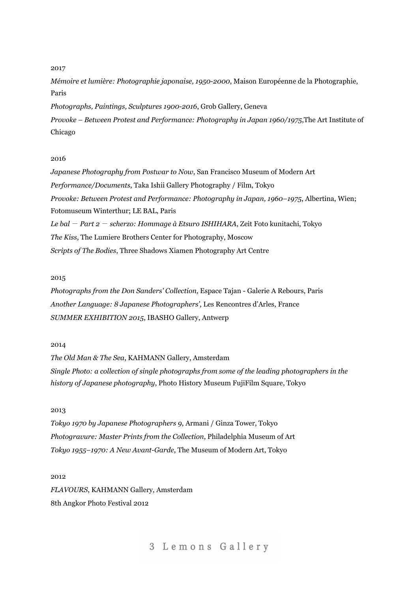#### 2017

*Mémoire et lumière: Photographie japonaise, 1950-2000*, Maison Européenne de la Photographie, Paris

*Photographs, Paintings, Sculptures 1900-2016*, Grob Gallery, Geneva

*Provoke – Between Protest and Performance: Photography in Japan 1960/1975*,The Art Institute of Chicago

### 2016

*Japanese Photography from Postwar to Now*, San Francisco Museum of Modern Art *Performance/Documents*, Taka Ishii Gallery Photography / Film, Tokyo *Provoke: Between Protest and Performance: Photography in Japan, 1960–1975*, Albertina, Wien; Fotomuseum Winterthur; LE BAL, Paris *Le bal* - *Part 2* - *scherzo: Hommage à Etsuro ISHIHARA*, Zeit Foto kunitachi, Tokyo *The Kiss*, The Lumiere Brothers Center for Photography, Moscow *Scripts of The Bodies*, Three Shadows Xiamen Photography Art Centre

#### 2015

*Photographs from the Don Sanders' Collection*, Espace Tajan - Galerie A Rebours, Paris *Another Language: 8 Japanese Photographers'*, Les Rencontres d'Arles, France *SUMMER EXHIBITION 2015*, IBASHO Gallery, Antwerp

#### 2014

*The Old Man & The Sea*, KAHMANN Gallery, Amsterdam *Single Photo: a collection of single photographs from some of the leading photographers in the history of Japanese photography*, Photo History Museum FujiFilm Square, Tokyo

#### 2013

*Tokyo 1970 by Japanese Photographers 9*, Armani / Ginza Tower, Tokyo *Photogravure: Master Prints from the Collection*, Philadelphia Museum of Art *Tokyo 1955–1970: A New Avant-Garde*, The Museum of Modern Art, Tokyo

2012 *FLAVOURS*, KAHMANN Gallery, Amsterdam 8th Angkor Photo Festival 2012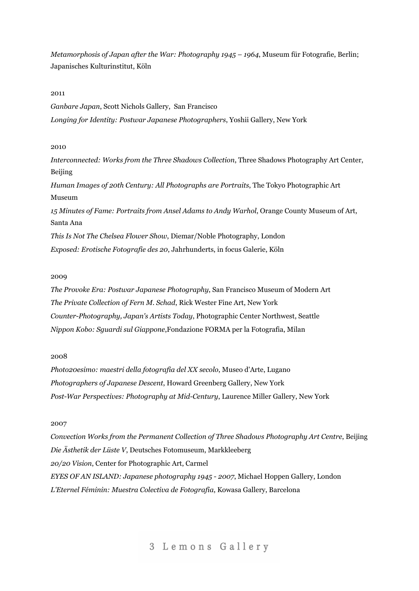*Metamorphosis of Japan after the War: Photography 1945 – 1964*, Museum für Fotografie, Berlin; Japanisches Kulturinstitut, Köln

2011

*Ganbare Japan*, Scott Nichols Gallery, San Francisco *Longing for Identity: Postwar Japanese Photographers*, Yoshii Gallery, New York

## 2010

*Interconnected: Works from the Three Shadows Collection*, Three Shadows Photography Art Center, Beijing *Human Images of 20th Century: All Photographs are Portraits*, The Tokyo Photographic Art Museum *15 Minutes of Fame: Portraits from Ansel Adams to Andy Warhol*, Orange County Museum of Art, Santa Ana *This Is Not The Chelsea Flower Show*, Diemar/Noble Photography, London *Exposed: Erotische Fotografie des 20*, Jahrhunderts, in focus Galerie, Köln

#### 2009

*The Provoke Era: Postwar Japanese Photography*, San Francisco Museum of Modern Art *The Private Collection of Fern M. Schad*, Rick Wester Fine Art, New York *Counter-Photography, Japan's Artists Today*, Photographic Center Northwest, Seattle *Nippon Kobo: Sguardi sul Giappone*,Fondazione FORMA per la Fotografia, Milan

#### 2008

*Photo20esimo: maestri della fotografia del XX secolo*, Museo d'Arte, Lugano *Photographers of Japanese Descent*, Howard Greenberg Gallery, New York *Post-War Perspectives: Photography at Mid-Century*, Laurence Miller Gallery, New York

#### 2007

*Convection Works from the Permanent Collection of Three Shadows Photography Art Centre*, Beijing *Die Ästhetik der Lüste V*, Deutsches Fotomuseum, Markkleeberg *20/20 Vision*, Center for Photographic Art, Carmel *EYES OF AN ISLAND: Japanese photography 1945 - 2007*, Michael Hoppen Gallery, London *L'Eternel Féminin: Muestra Colectiva de Fotografia*, Kowasa Gallery, Barcelona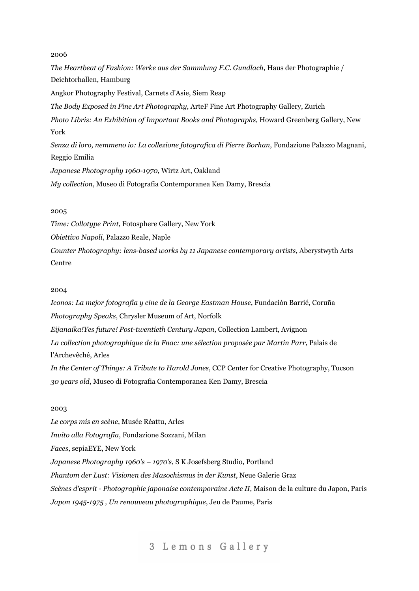## 2006

*The Heartbeat of Fashion: Werke aus der Sammlung F.C. Gundlach*, Haus der Photographie / Deichtorhallen, Hamburg Angkor Photography Festival, Carnets d'Asie, Siem Reap *The Body Exposed in Fine Art Photography*, ArteF Fine Art Photography Gallery, Zurich *Photo Libris: An Exhibition of Important Books and Photographs,* Howard Greenberg Gallery, New York *Senza di loro, nemmeno io: La collezione fotografica di Pierre Borhan*, Fondazione Palazzo Magnani, Reggio Emilia *Japanese Photography 1960-1970*, Wirtz Art, Oakland *My collection*, Museo di Fotografia Contemporanea Ken Damy, Brescia

## 2005

*Time: Collotype Print*, Fotosphere Gallery, New York

*Obiettivo Napoli*, Palazzo Reale, Naple

*Counter Photography: lens-based works by 11 Japanese contemporary artists*, Aberystwyth Arts Centre

### 2004

*Iconos: La mejor fotografía y cine de la George Eastman House*, Fundación Barrié, Coruña *Photography Speaks*, Chrysler Museum of Art, Norfolk *Eijanaika!Yes future! Post-twentieth Century Japan*, Collection Lambert, Avignon *La collection photographique de la Fnac: une sélection proposée par Martin Parr*, Palais de l'Archevêché, Arles *In the Center of Things: A Tribute to Harold Jones*, CCP Center for Creative Photography, Tucson *30 years old*, Museo di Fotografia Contemporanea Ken Damy, Brescia

#### 2003

*Le corps mis en scène*, Musée Réattu, Arles *Invito alla Fotografia*, Fondazione Sozzani, Milan *Faces*, sepiaEYE, New York *Japanese Photography 1960's – 1970's*, S K Josefsberg Studio, Portland *Phantom der Lust: Visionen des Masochismus in der Kunst*, Neue Galerie Graz *Scènes d'esprit - Photographie japonaise contemporaine Acte II*, Maison de la culture du Japon, Paris *Japon 1945-1975 , Un renouveau photographique*, Jeu de Paume, Paris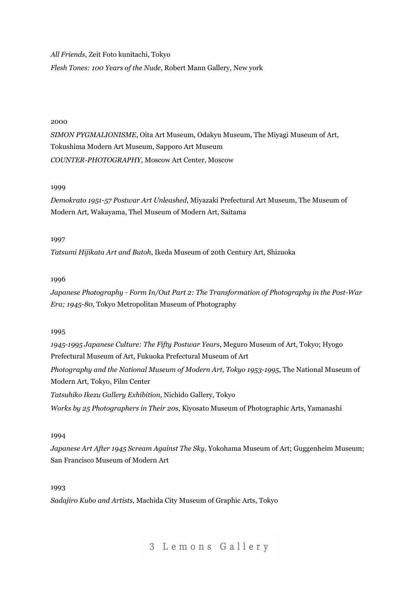*All Friends*, Zeit Foto kunitachi, Tokyo

*Flesh Tones: 100 Years of the Nude*, Robert Mann Gallery, New york

## 2000

*SIMON PYGMALIONISME*, Oita Art Museum, Odakyu Museum, The Miyagi Museum of Art, Tokushima Modern Art Museum, Sapporo Art Museum *COUNTER-PHOTOGRAPHY*, Moscow Art Center, Moscow

### 1999

*Demokrato 1951-57 Postwar Art Unleashed*, Miyazaki Prefectural Art Museum, The Museum of Modern Art, Wakayama, Thel Museum of Modern Art, Saitama

### 1997

*Tatsumi Hijikata Art and Butoh*, Ikeda Museum of 20th Century Art, Shizuoka

## 1996

*Japanese Photography - Form In/Out Part 2: The Transformation of Photography in the Post-War Era; 1945-80*, Tokyo Metropolitan Museum of Photography

## 1995

*1945-1995 Japanese Culture: The Fifty Postwar Years*, Meguro Museum of Art, Tokyo; Hyogo Prefectural Museum of Art, Fukuoka Prefectural Museum of Art *Photography and the National Museum of Modern Art, Tokyo 1953-1995*, The National Museum of Modern Art, Tokyo, Film Center *Tatsuhiko Ikezu Gallery Exhibition*, Nichido Gallery, Tokyo

*Works by 25 Photographers in Their 20s*, Kiyosato Museum of Photographic Arts, Yamanashi

## 1994

*Japanese Art After 1945 Scream Against The Sky*, Yokohama Museum of Art; Guggenheim Museum; San Francisco Museum of Modern Art

### 1993

*Sadajiro Kubo and Artists*, Machida City Museum of Graphic Arts, Tokyo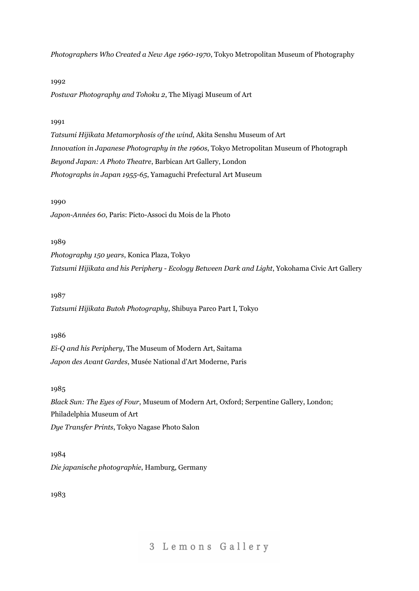*Photographers Who Created a New Age 1960-1970*, Tokyo Metropolitan Museum of Photography

#### 1992

*Postwar Photography and Tohoku 2*, The Miyagi Museum of Art

## 1991

*Tatsumi Hijikata Metamorphosis of the wind*, Akita Senshu Museum of Art *Innovation in Japanese Photography in the 1960s*, Tokyo Metropolitan Museum of Photograph *Beyond Japan: A Photo Theatre*, Barbican Art Gallery, London *Photographs in Japan 1955-65*, Yamaguchi Prefectural Art Museum

#### 1990

*Japon-Années 60*, Paris: Picto-Associ du Mois de la Photo

## 1989

*Photography 150 years*, Konica Plaza, Tokyo *Tatsumi Hijikata and his Periphery - Ecology Between Dark and Light*, Yokohama Civic Art Gallery

## 1987

*Tatsumi Hijikata Butoh Photography*, Shibuya Parco Part I, Tokyo

## 1986

*Ei-Q and his Periphery*, The Museum of Modern Art, Saitama *Japon des Avant Gardes*, Musée National d'Art Moderne, Paris

### 1985

*Black Sun: The Eyes of Four*, Museum of Modern Art, Oxford; Serpentine Gallery, London; Philadelphia Museum of Art *Dye Transfer Prints*, Tokyo Nagase Photo Salon

1984 *Die japanische photographie*, Hamburg, Germany

1983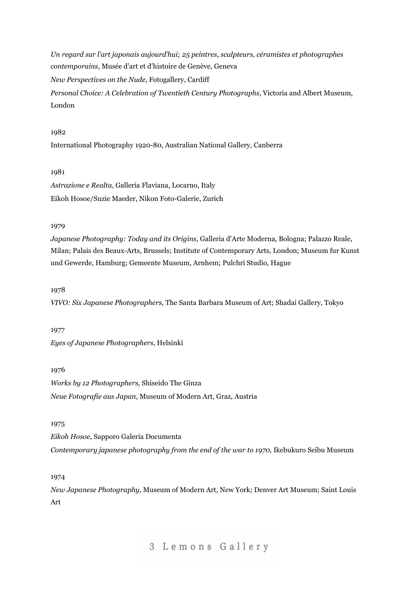*Un regard sur l'art japonais aujourd'hui; 25 peintres, sculpteurs, céramistes et photographes contemporains*, Musée d'art et d'histoire de Genève, Geneva *New Perspectives on the Nude*, Fotogallery, Cardiff *Personal Choice: A Celebration of Twentieth Century Photographs*, Victoria and Albert Museum, London

#### 1982

International Photography 1920-80, Australian National Gallery, Canberra

## 1981

*Astrazione e Realta*, Galleria Flaviana, Locarno, Italy Eikoh Hosoe/Suzie Maeder, Nikon Foto-Galerie, Zurich

### 1979

*Japanese Photography: Today and its Origins*, Galleria d'Arte Moderna, Bologna; Palazzo Reale, Milan; Palais des Beaux-Arts, Brussels; Institute of Contemporary Arts, London; Museum fur Kunst und Gewerde, Hamburg; Gemeente Museum, Arnhem; Pulchri Studio, Hague

### 1978

*VIVO: Six Japanese Photographers*, The Santa Barbara Museum of Art; Shadai Gallery, Tokyo

#### 1977

*Eyes of Japanese Photographers*, Helsinki

#### 1976

*Works by 12 Photographers*, Shiseido The Ginza *Neue Fotografie aus Japan*, Museum of Modern Art, Graz, Austria

#### 1975

*Eikoh Hosoe*, Sapporo Galeria Documenta *Contemporary japanese photography from the end of the war to 1970,* Ikebukuro Seibu Museum

## 1974

*New Japanese Photography*, Museum of Modern Art, New York; Denver Art Museum; Saint Louis Art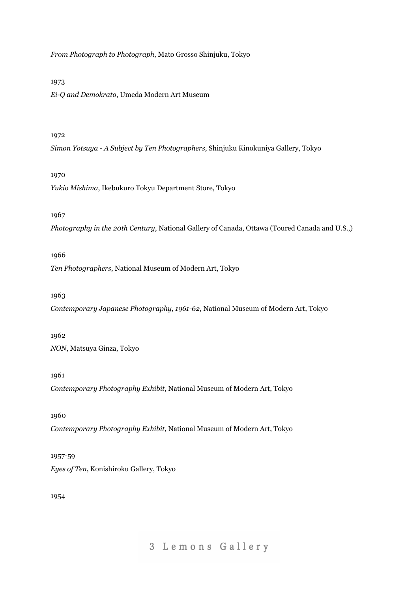*From Photograph to Photograph*, Mato Grosso Shinjuku, Tokyo

## 1973

*Ei-Q and Demokrato*, Umeda Modern Art Museum

## 1972

*Simon Yotsuya - A Subject by Ten Photographers*, Shinjuku Kinokuniya Gallery, Tokyo

## 1970

*Yukio Mishima*, Ikebukuro Tokyu Department Store, Tokyo

## 1967

*Photography in the 20th Century*, National Gallery of Canada, Ottawa (Toured Canada and U.S.,)

## 1966

*Ten Photographers*, National Museum of Modern Art, Tokyo

## 1963

*Contemporary Japanese Photography, 1961-62,* National Museum of Modern Art, Tokyo

## 1962

*NON*, Matsuya Ginza, Tokyo

## 1961

*Contemporary Photography Exhibit*, National Museum of Modern Art, Tokyo

## 1960

*Contemporary Photography Exhibit*, National Museum of Modern Art, Tokyo

## 1957-59

*Eyes of Ten*, Konishiroku Gallery, Tokyo

## 1954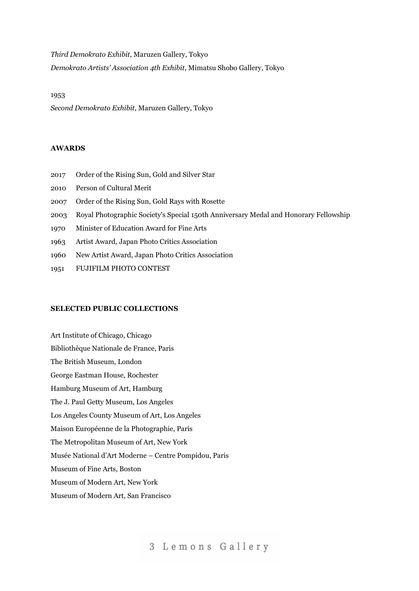*Third Demokrato Exhibit*, Maruzen Gallery, Tokyo

*Demokrato Artists' Association 4th Exhibit*, Mimatsu Shobo Gallery, Tokyo

#### 1953

*Second Demokrato Exhibit*, Maruzen Gallery, Tokyo

#### **AWARDS**

- 2017 Order of the Rising Sun, Gold and Silver Star
- 2010 Person of Cultural Merit
- 2007 Order of the Rising Sun, Gold Rays with Rosette
- 2003 Royal Photographic Society's Special 150th Anniversary Medal and Honorary Fellowship
- 1970 Minister of Education Award for Fine Arts
- 1963 Artist Award, Japan Photo Critics Association
- 1960 New Artist Award, Japan Photo Critics Association
- 1951 FUJIFILM PHOTO CONTEST

#### **SELECTED PUBLIC COLLECTIONS**

Art Institute of Chicago, Chicago Bibliothèque Nationale de France, Paris The British Museum, London George Eastman House, Rochester Hamburg Museum of Art, Hamburg The J. Paul Getty Museum, Los Angeles Los Angeles County Museum of Art, Los Angeles Maison Européenne de la Photographie, Paris The Metropolitan Museum of Art, New York Musée National d'Art Moderne – Centre Pompidou, Paris Museum of Fine Arts, Boston Museum of Modern Art, New York Museum of Modern Art, San Francisco